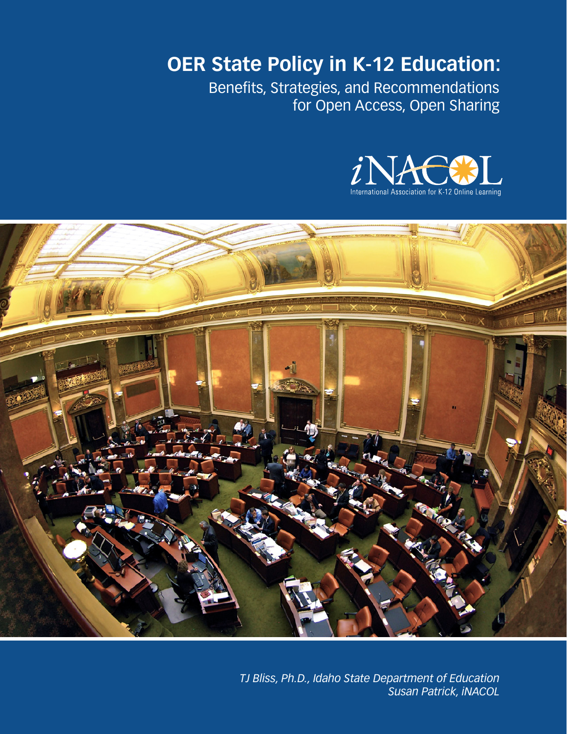**OER State Policy in K-12 Education:** 

Benefits, Strategies, and Recommendations for Open Access, Open Sharing





*TJ Bliss, Ph.D., Idaho State Department of Education Susan Patrick, iNACOL*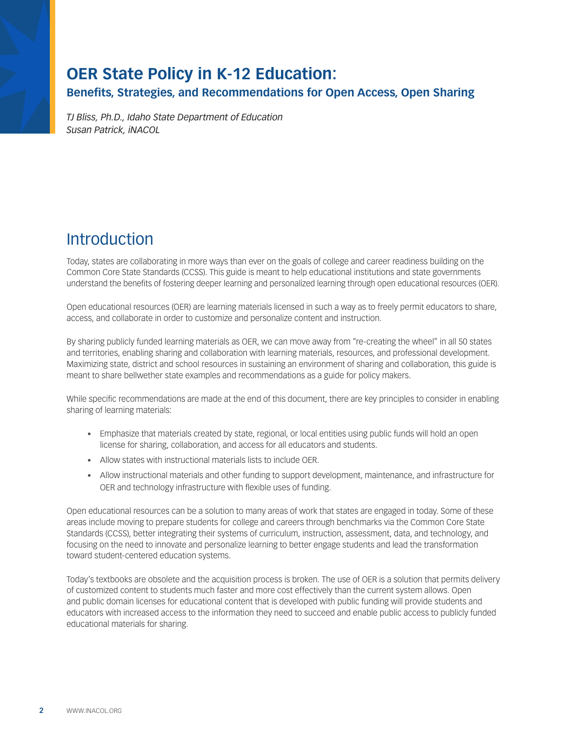# **OER State Policy in K-12 Education:**

**Benefits, Strategies, and Recommendations for Open Access, Open Sharing**

*TJ Bliss, Ph.D., Idaho State Department of Education Susan Patrick, iNACOL*

# **Introduction**

Today, states are collaborating in more ways than ever on the goals of college and career readiness building on the Common Core State Standards (CCSS). This guide is meant to help educational institutions and state governments understand the benefits of fostering deeper learning and personalized learning through open educational resources (OER).

Open educational resources (OER) are learning materials licensed in such a way as to freely permit educators to share, access, and collaborate in order to customize and personalize content and instruction.

By sharing publicly funded learning materials as OER, we can move away from "re-creating the wheel" in all 50 states and territories, enabling sharing and collaboration with learning materials, resources, and professional development. Maximizing state, district and school resources in sustaining an environment of sharing and collaboration, this guide is meant to share bellwether state examples and recommendations as a guide for policy makers.

While specific recommendations are made at the end of this document, there are key principles to consider in enabling sharing of learning materials:

- Emphasize that materials created by state, regional, or local entities using public funds will hold an open license for sharing, collaboration, and access for all educators and students.
- • Allow states with instructional materials lists to include OER.
- • Allow instructional materials and other funding to support development, maintenance, and infrastructure for OER and technology infrastructure with flexible uses of funding.

Open educational resources can be a solution to many areas of work that states are engaged in today. Some of these areas include moving to prepare students for college and careers through benchmarks via the Common Core State Standards (CCSS), better integrating their systems of curriculum, instruction, assessment, data, and technology, and focusing on the need to innovate and personalize learning to better engage students and lead the transformation toward student-centered education systems.

Today's textbooks are obsolete and the acquisition process is broken. The use of OER is a solution that permits delivery of customized content to students much faster and more cost effectively than the current system allows. Open and public domain licenses for educational content that is developed with public funding will provide students and educators with increased access to the information they need to succeed and enable public access to publicly funded educational materials for sharing.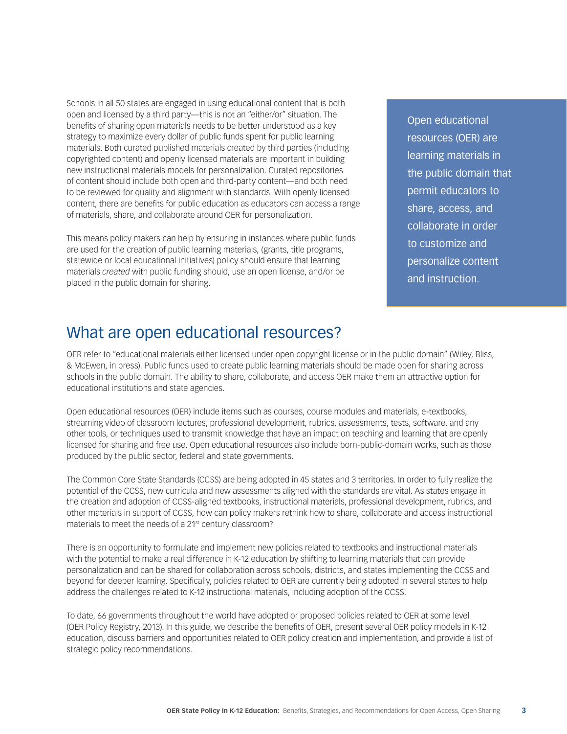Schools in all 50 states are engaged in using educational content that is both open and licensed by a third party—this is not an "either/or" situation. The benefits of sharing open materials needs to be better understood as a key strategy to maximize every dollar of public funds spent for public learning materials. Both curated published materials created by third parties (including copyrighted content) and openly licensed materials are important in building new instructional materials models for personalization. Curated repositories of content should include both open and third-party content—and both need to be reviewed for quality and alignment with standards. With openly licensed content, there are benefits for public education as educators can access a range of materials, share, and collaborate around OER for personalization.

This means policy makers can help by ensuring in instances where public funds are used for the creation of public learning materials, (grants, title programs, statewide or local educational initiatives) policy should ensure that learning materials *created* with public funding should, use an open license, and/or be placed in the public domain for sharing.

Open educational resources (OER) are learning materials in the public domain that permit educators to share, access, and collaborate in order to customize and personalize content and instruction.

## What are open educational resources?

OER refer to "educational materials either licensed under open copyright license or in the public domain" (Wiley, Bliss, & McEwen, in press). Public funds used to create public learning materials should be made open for sharing across schools in the public domain. The ability to share, collaborate, and access OER make them an attractive option for educational institutions and state agencies.

Open educational resources (OER) include items such as courses, course modules and materials, e-textbooks, streaming video of classroom lectures, professional development, rubrics, assessments, tests, software, and any other tools, or techniques used to transmit knowledge that have an impact on teaching and learning that are openly licensed for sharing and free use. Open educational resources also include born-public-domain works, such as those produced by the public sector, federal and state governments.

The Common Core State Standards (CCSS) are being adopted in 45 states and 3 territories. In order to fully realize the potential of the CCSS, new curricula and new assessments aligned with the standards are vital. As states engage in the creation and adoption of CCSS-aligned textbooks, instructional materials, professional development, rubrics, and other materials in support of CCSS, how can policy makers rethink how to share, collaborate and access instructional materials to meet the needs of a 21<sup>st</sup> century classroom?

There is an opportunity to formulate and implement new policies related to textbooks and instructional materials with the potential to make a real difference in K-12 education by shifting to learning materials that can provide personalization and can be shared for collaboration across schools, districts, and states implementing the CCSS and beyond for deeper learning. Specifically, policies related to OER are currently being adopted in several states to help address the challenges related to K-12 instructional materials, including adoption of the CCSS.

To date, 66 governments throughout the world have adopted or proposed policies related to OER at some level (OER Policy Registry, 2013). In this guide, we describe the benefits of OER, present several OER policy models in K-12 education, discuss barriers and opportunities related to OER policy creation and implementation, and provide a list of strategic policy recommendations.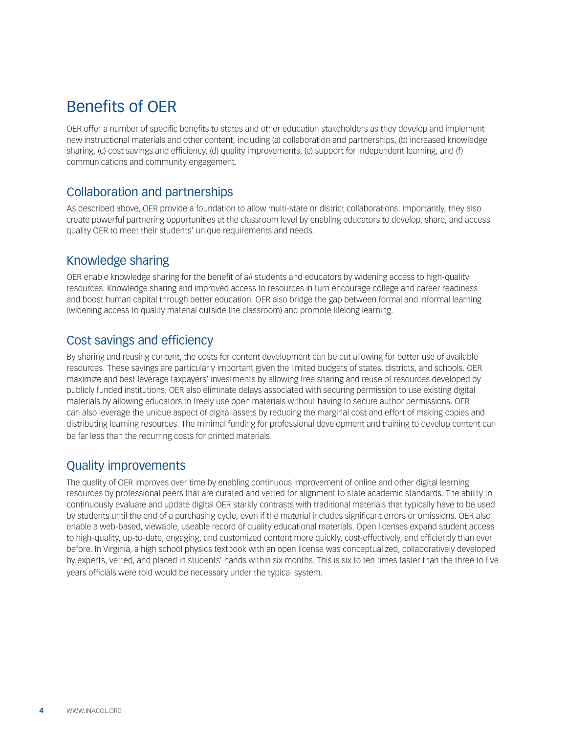# Benefits of OER

OER offer a number of specific benefits to states and other education stakeholders as they develop and implement new instructional materials and other content, including (a) collaboration and partnerships, (b) increased knowledge sharing, (c) cost savings and efficiency, (d) quality improvements, (e) support for independent learning, and (f) communications and community engagement.

### Collaboration and partnerships

As described above, OER provide a foundation to allow multi-state or district collaborations. Importantly, they also create powerful partnering opportunities at the classroom level by enabling educators to develop, share, and access quality OER to meet their students' unique requirements and needs.

#### Knowledge sharing

OER enable knowledge sharing for the benefit of *all* students and educators by widening access to high-quality resources. Knowledge sharing and improved access to resources in turn encourage college and career readiness and boost human capital through better education. OER also bridge the gap between formal and informal learning (widening access to quality material outside the classroom) and promote lifelong learning.

## Cost savings and efficiency

By sharing and reusing content, the costs for content development can be cut allowing for better use of available resources. These savings are particularly important given the limited budgets of states, districts, and schools. OER maximize and best leverage taxpayers' investments by allowing free sharing and reuse of resources developed by publicly funded institutions. OER also eliminate delays associated with securing permission to use existing digital materials by allowing educators to freely use open materials without having to secure author permissions. OER can also leverage the unique aspect of digital assets by reducing the marginal cost and effort of making copies and distributing learning resources. The minimal funding for professional development and training to develop content can be far less than the recurring costs for printed materials.

### Quality improvements

The quality of OER improves over time by enabling continuous improvement of online and other digital learning resources by professional peers that are curated and vetted for alignment to state academic standards. The ability to continuously evaluate and update digital OER starkly contrasts with traditional materials that typically have to be used by students until the end of a purchasing cycle, even if the material includes significant errors or omissions. OER also enable a web-based, viewable, useable record of quality educational materials. Open licenses expand student access to high-quality, up-to-date, engaging, and customized content more quickly, cost-effectively, and efficiently than ever before. In Virginia, a high school physics textbook with an open license was conceptualized, collaboratively developed by experts, vetted, and placed in students' hands within six months. This is six to ten times faster than the three to five years officials were told would be necessary under the typical system.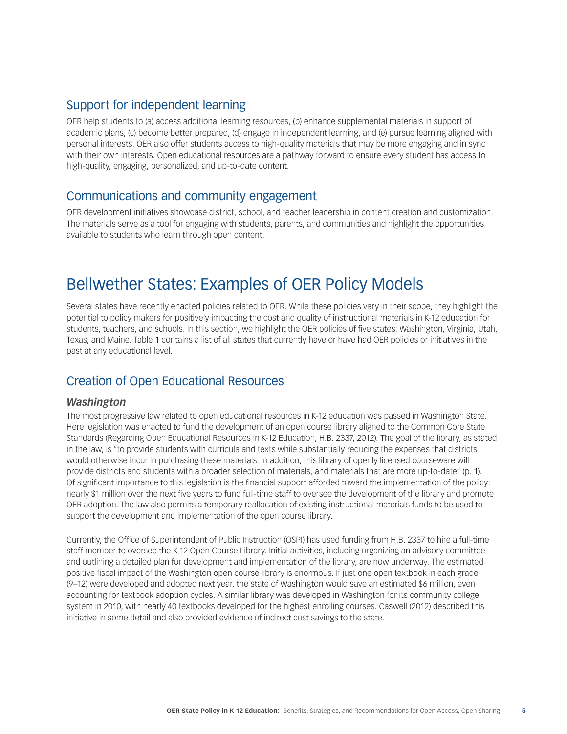## Support for independent learning

OER help students to (a) access additional learning resources, (b) enhance supplemental materials in support of academic plans, (c) become better prepared, (d) engage in independent learning, and (e) pursue learning aligned with personal interests. OER also offer students access to high-quality materials that may be more engaging and in sync with their own interests. Open educational resources are a pathway forward to ensure every student has access to high-quality, engaging, personalized, and up-to-date content.

#### Communications and community engagement

OER development initiatives showcase district, school, and teacher leadership in content creation and customization. The materials serve as a tool for engaging with students, parents, and communities and highlight the opportunities available to students who learn through open content.

## Bellwether States: Examples of OER Policy Models

Several states have recently enacted policies related to OER. While these policies vary in their scope, they highlight the potential to policy makers for positively impacting the cost and quality of instructional materials in K-12 education for students, teachers, and schools. In this section, we highlight the OER policies of five states: Washington, Virginia, Utah, Texas, and Maine. Table 1 contains a list of all states that currently have or have had OER policies or initiatives in the past at any educational level.

#### Creation of Open Educational Resources

#### *Washington*

The most progressive law related to open educational resources in K-12 education was passed in Washington State. Here legislation was enacted to fund the development of an open course library aligned to the Common Core State Standards (Regarding Open Educational Resources in K-12 Education, H.B. 2337, 2012). The goal of the library, as stated in the law, is "to provide students with curricula and texts while substantially reducing the expenses that districts would otherwise incur in purchasing these materials. In addition, this library of openly licensed courseware will provide districts and students with a broader selection of materials, and materials that are more up-to-date" (p. 1). Of significant importance to this legislation is the financial support afforded toward the implementation of the policy: nearly \$1 million over the next five years to fund full-time staff to oversee the development of the library and promote OER adoption. The law also permits a temporary reallocation of existing instructional materials funds to be used to support the development and implementation of the open course library.

Currently, the Office of Superintendent of Public Instruction (OSPI) has used funding from H.B. 2337 to hire a full-time staff member to oversee the K-12 Open Course Library. Initial activities, including organizing an advisory committee and outlining a detailed plan for development and implementation of the library, are now underway. The estimated positive fiscal impact of the Washington open course library is enormous. If just one open textbook in each grade (9–12) were developed and adopted next year, the state of Washington would save an estimated \$6 million, even accounting for textbook adoption cycles. A similar library was developed in Washington for its community college system in 2010, with nearly 40 textbooks developed for the highest enrolling courses. Caswell (2012) described this initiative in some detail and also provided evidence of indirect cost savings to the state.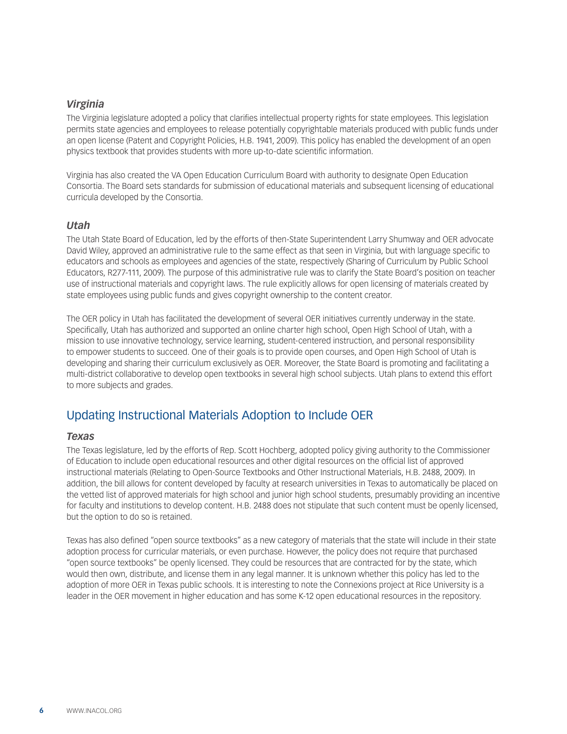#### *Virginia*

The Virginia legislature adopted a policy that clarifies intellectual property rights for state employees. This legislation permits state agencies and employees to release potentially copyrightable materials produced with public funds under an open license (Patent and Copyright Policies, H.B. 1941, 2009). This policy has enabled the development of an open physics textbook that provides students with more up-to-date scientific information.

Virginia has also created the VA Open Education Curriculum Board with authority to designate Open Education Consortia. The Board sets standards for submission of educational materials and subsequent licensing of educational curricula developed by the Consortia.

#### *Utah*

The Utah State Board of Education, led by the efforts of then-State Superintendent Larry Shumway and OER advocate David Wiley, approved an administrative rule to the same effect as that seen in Virginia, but with language specific to educators and schools as employees and agencies of the state, respectively (Sharing of Curriculum by Public School Educators, R277-111, 2009). The purpose of this administrative rule was to clarify the State Board's position on teacher use of instructional materials and copyright laws. The rule explicitly allows for open licensing of materials created by state employees using public funds and gives copyright ownership to the content creator.

The OER policy in Utah has facilitated the development of several OER initiatives currently underway in the state. Specifically, Utah has authorized and supported an online charter high school, Open High School of Utah, with a mission to use innovative technology, service learning, student-centered instruction, and personal responsibility to empower students to succeed. One of their goals is to provide open courses, and Open High School of Utah is developing and sharing their curriculum exclusively as OER. Moreover, the State Board is promoting and facilitating a multi-district collaborative to develop open textbooks in several high school subjects. Utah plans to extend this effort to more subjects and grades.

#### Updating Instructional Materials Adoption to Include OER

#### *Texas*

The Texas legislature, led by the efforts of Rep. Scott Hochberg, adopted policy giving authority to the Commissioner of Education to include open educational resources and other digital resources on the official list of approved instructional materials (Relating to Open-Source Textbooks and Other Instructional Materials, H.B. 2488, 2009). In addition, the bill allows for content developed by faculty at research universities in Texas to automatically be placed on the vetted list of approved materials for high school and junior high school students, presumably providing an incentive for faculty and institutions to develop content. H.B. 2488 does not stipulate that such content must be openly licensed, but the option to do so is retained.

Texas has also defined "open source textbooks" as a new category of materials that the state will include in their state adoption process for curricular materials, or even purchase. However, the policy does not require that purchased "open source textbooks" be openly licensed. They could be resources that are contracted for by the state, which would then own, distribute, and license them in any legal manner. It is unknown whether this policy has led to the adoption of more OER in Texas public schools. It is interesting to note the Connexions project at Rice University is a leader in the OER movement in higher education and has some K-12 open educational resources in the repository.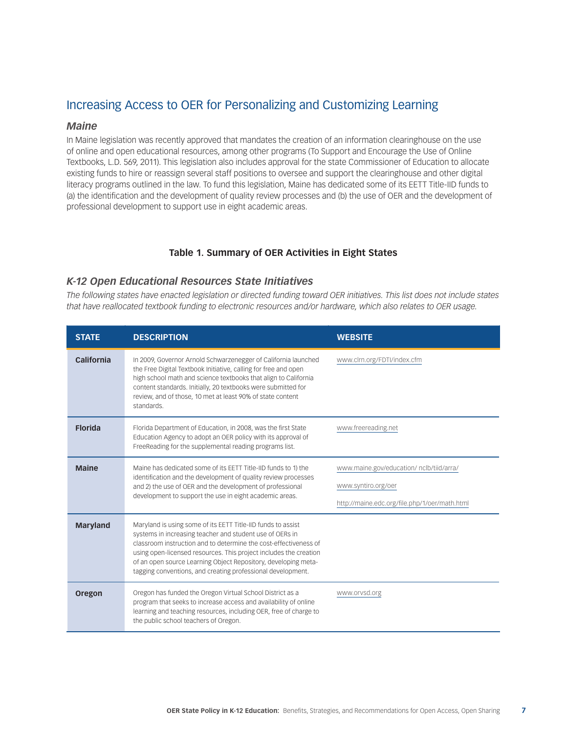### Increasing Access to OER for Personalizing and Customizing Learning

#### *Maine*

In Maine legislation was recently approved that mandates the creation of an information clearinghouse on the use of online and open educational resources, among other programs (To Support and Encourage the Use of Online Textbooks, L.D. 569, 2011). This legislation also includes approval for the state Commissioner of Education to allocate existing funds to hire or reassign several staff positions to oversee and support the clearinghouse and other digital literacy programs outlined in the law. To fund this legislation, Maine has dedicated some of its EETT Title-IID funds to (a) the identification and the development of quality review processes and (b) the use of OER and the development of professional development to support use in eight academic areas.

#### **Table 1. Summary of OER Activities in Eight States**

#### *K-12 Open Educational Resources State Initiatives*

*The following states have enacted legislation or directed funding toward OER initiatives. This list does not include states that have reallocated textbook funding to electronic resources and/or hardware, which also relates to OER usage.*

| <b>STATE</b>    | <b>DESCRIPTION</b>                                                                                                                                                                                                                                                                                                                                                                                 | <b>WEBSITE</b>                                                                                                   |
|-----------------|----------------------------------------------------------------------------------------------------------------------------------------------------------------------------------------------------------------------------------------------------------------------------------------------------------------------------------------------------------------------------------------------------|------------------------------------------------------------------------------------------------------------------|
| California      | In 2009, Governor Arnold Schwarzenegger of California launched<br>the Free Digital Textbook Initiative, calling for free and open<br>high school math and science textbooks that align to California<br>content standards. Initially, 20 textbooks were submitted for<br>review, and of those, 10 met at least 90% of state content<br>standards.                                                  | www.clrn.org/FDTI/index.cfm                                                                                      |
| <b>Florida</b>  | Florida Department of Education, in 2008, was the first State<br>Education Agency to adopt an OER policy with its approval of<br>FreeReading for the supplemental reading programs list.                                                                                                                                                                                                           | www.freereading.net                                                                                              |
| <b>Maine</b>    | Maine has dedicated some of its EETT Title-IID funds to 1) the<br>identification and the development of quality review processes<br>and 2) the use of OER and the development of professional<br>development to support the use in eight academic areas.                                                                                                                                           | www.maine.gov/education/ nclb/tiid/arra/<br>www.syntiro.org/oer<br>http://maine.edc.org/file.php/1/oer/math.html |
| <b>Maryland</b> | Maryland is using some of its EETT Title-IID funds to assist<br>systems in increasing teacher and student use of OERs in<br>classroom instruction and to determine the cost-effectiveness of<br>using open-licensed resources. This project includes the creation<br>of an open source Learning Object Repository, developing meta-<br>tagging conventions, and creating professional development. |                                                                                                                  |
| Oregon          | Oregon has funded the Oregon Virtual School District as a<br>program that seeks to increase access and availability of online<br>learning and teaching resources, including OER, free of charge to<br>the public school teachers of Oregon.                                                                                                                                                        | www.orvsd.org                                                                                                    |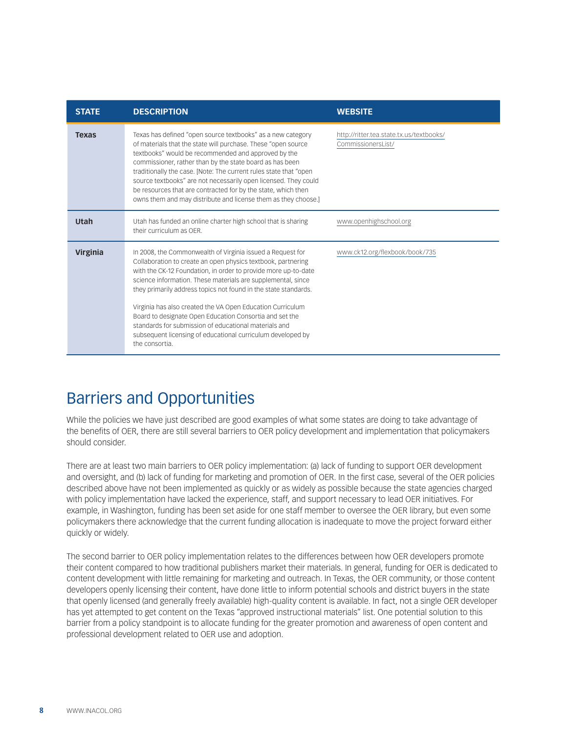| <b>STATE</b>    | <b>DESCRIPTION</b>                                                                                                                                                                                                                                                                                                                                                                                                                                                                                                                                                                                 | <b>WEBSITE</b>                                                 |
|-----------------|----------------------------------------------------------------------------------------------------------------------------------------------------------------------------------------------------------------------------------------------------------------------------------------------------------------------------------------------------------------------------------------------------------------------------------------------------------------------------------------------------------------------------------------------------------------------------------------------------|----------------------------------------------------------------|
| <b>Texas</b>    | Texas has defined "open source textbooks" as a new category<br>of materials that the state will purchase. These "open source<br>textbooks" would be recommended and approved by the<br>commissioner, rather than by the state board as has been<br>traditionally the case. [Note: The current rules state that "open<br>source textbooks" are not necessarily open licensed. They could<br>be resources that are contracted for by the state, which then<br>owns them and may distribute and license them as they choose.]                                                                         | http://ritter.tea.state.tx.us/textbooks/<br>CommissionersList/ |
| Utah            | Utah has funded an online charter high school that is sharing<br>their curriculum as OFR.                                                                                                                                                                                                                                                                                                                                                                                                                                                                                                          | www.openhighschool.org                                         |
| <b>Virginia</b> | In 2008, the Commonwealth of Virginia issued a Request for<br>Collaboration to create an open physics textbook, partnering<br>with the CK-12 Foundation, in order to provide more up-to-date<br>science information. These materials are supplemental, since<br>they primarily address topics not found in the state standards.<br>Virginia has also created the VA Open Education Curriculum<br>Board to designate Open Education Consortia and set the<br>standards for submission of educational materials and<br>subsequent licensing of educational curriculum developed by<br>the consortia. | www.ck12.org/flexbook/book/735                                 |

## Barriers and Opportunities

While the policies we have just described are good examples of what some states are doing to take advantage of the benefits of OER, there are still several barriers to OER policy development and implementation that policymakers should consider.

There are at least two main barriers to OER policy implementation: (a) lack of funding to support OER development and oversight, and (b) lack of funding for marketing and promotion of OER. In the first case, several of the OER policies described above have not been implemented as quickly or as widely as possible because the state agencies charged with policy implementation have lacked the experience, staff, and support necessary to lead OER initiatives. For example, in Washington, funding has been set aside for one staff member to oversee the OER library, but even some policymakers there acknowledge that the current funding allocation is inadequate to move the project forward either quickly or widely.

The second barrier to OER policy implementation relates to the differences between how OER developers promote their content compared to how traditional publishers market their materials. In general, funding for OER is dedicated to content development with little remaining for marketing and outreach. In Texas, the OER community, or those content developers openly licensing their content, have done little to inform potential schools and district buyers in the state that openly licensed (and generally freely available) high-quality content is available. In fact, not a single OER developer has yet attempted to get content on the Texas "approved instructional materials" list. One potential solution to this barrier from a policy standpoint is to allocate funding for the greater promotion and awareness of open content and professional development related to OER use and adoption.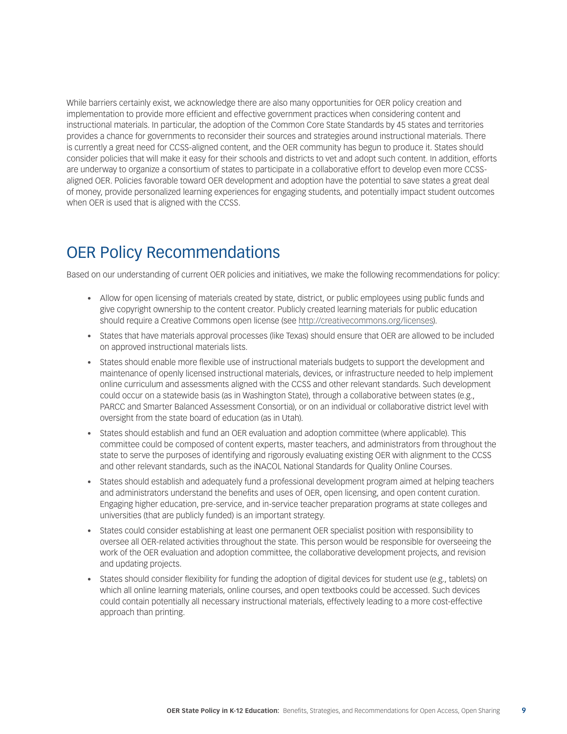While barriers certainly exist, we acknowledge there are also many opportunities for OER policy creation and implementation to provide more efficient and effective government practices when considering content and instructional materials. In particular, the adoption of the Common Core State Standards by 45 states and territories provides a chance for governments to reconsider their sources and strategies around instructional materials. There is currently a great need for CCSS-aligned content, and the OER community has begun to produce it. States should consider policies that will make it easy for their schools and districts to vet and adopt such content. In addition, efforts are underway to organize a consortium of states to participate in a collaborative effort to develop even more CCSSaligned OER. Policies favorable toward OER development and adoption have the potential to save states a great deal of money, provide personalized learning experiences for engaging students, and potentially impact student outcomes when OER is used that is aligned with the CCSS.

## OER Policy Recommendations

Based on our understanding of current OER policies and initiatives, we make the following recommendations for policy:

- Allow for open licensing of materials created by state, district, or public employees using public funds and give copyright ownership to the content creator. Publicly created learning materials for public education should require a Creative Commons open license (see [http://creativecommons.org/licenses\)](http://creativecommons.org/licenses).
- • States that have materials approval processes (like Texas) should ensure that OER are allowed to be included on approved instructional materials lists.
- States should enable more flexible use of instructional materials budgets to support the development and maintenance of openly licensed instructional materials, devices, or infrastructure needed to help implement online curriculum and assessments aligned with the CCSS and other relevant standards. Such development could occur on a statewide basis (as in Washington State), through a collaborative between states (e.g., PARCC and Smarter Balanced Assessment Consortia), or on an individual or collaborative district level with oversight from the state board of education (as in Utah).
- States should establish and fund an OER evaluation and adoption committee (where applicable). This committee could be composed of content experts, master teachers, and administrators from throughout the state to serve the purposes of identifying and rigorously evaluating existing OER with alignment to the CCSS and other relevant standards, such as the iNACOL National Standards for Quality Online Courses.
- States should establish and adequately fund a professional development program aimed at helping teachers and administrators understand the benefits and uses of OER, open licensing, and open content curation. Engaging higher education, pre-service, and in-service teacher preparation programs at state colleges and universities (that are publicly funded) is an important strategy.
- • States could consider establishing at least one permanent OER specialist position with responsibility to oversee all OER-related activities throughout the state. This person would be responsible for overseeing the work of the OER evaluation and adoption committee, the collaborative development projects, and revision and updating projects.
- States should consider flexibility for funding the adoption of digital devices for student use (e.g., tablets) on which all online learning materials, online courses, and open textbooks could be accessed. Such devices could contain potentially all necessary instructional materials, effectively leading to a more cost-effective approach than printing.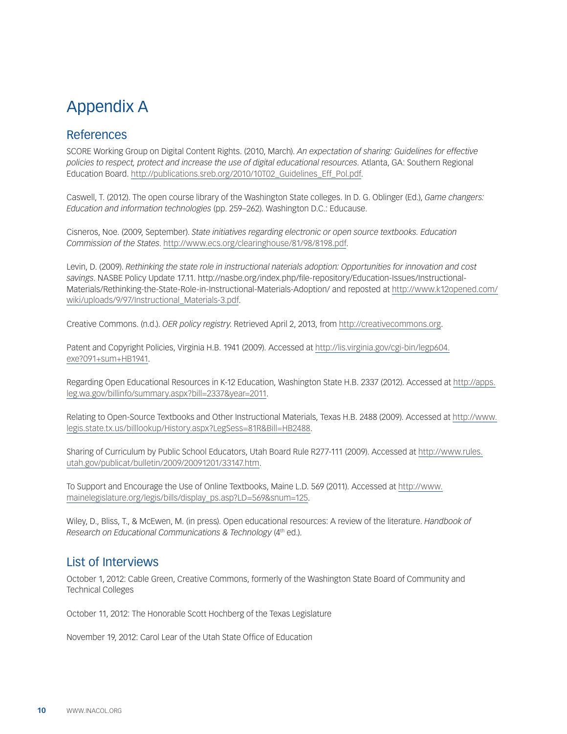# Appendix A

## References

SCORE Working Group on Digital Content Rights. (2010, March). *An expectation of sharing: Guidelines for effective policies to respect, protect and increase the use of digital educational resources*. Atlanta, GA: Southern Regional Education Board. [http://publications.sreb.org/2010/10T02\\_Guidelines\\_Eff\\_Pol.pdf](http://publications.sreb.org/2010/10T02_Guidelines_Eff_Pol.pdf).

Caswell, T. (2012). The open course library of the Washington State colleges. In D. G. Oblinger (Ed.), *Game changers: Education and information technologies* (pp. 259–262). Washington D.C.: Educause.

Cisneros, Noe. (2009, September). *State initiatives regarding electronic or open source textbooks. Education Commission of the States*. [http://www.ecs.org/clearinghouse/81/98/8198.pdf.](http://www.ecs.org/clearinghouse/81/98/8198.pdf)

Levin, D. (2009). *Rethinking the state role in instructional naterials adoption: Opportunities for innovation and cost savings*. NASBE Policy Update 17.11. http://nasbe.org/index.php/file-repository/Education-Issues/Instructional-Materials/Rethinking-the-State-Role-in-Instructional-Materials-Adoption/ and reposted at [http://www.k12opened.com/](http://www.k12opened.com/wiki/uploads/9/97/Instructional_Materials-3.pdf) [wiki/uploads/9/97/Instructional\\_Materials-3.pdf.](http://www.k12opened.com/wiki/uploads/9/97/Instructional_Materials-3.pdf)

Creative Commons. (n.d.). *OER policy registry*. Retrieved April 2, 2013, from<http://creativecommons.org>.

Patent and Copyright Policies, Virginia H.B. 1941 (2009). Accessed at [http://lis.virginia.gov/cgi-bin/legp604.](http://lis.virginia.gov/cgi-bin/legp604.exe%3F091%2Bsum%2BHB1941) [exe?091+sum+HB1941.](http://lis.virginia.gov/cgi-bin/legp604.exe%3F091%2Bsum%2BHB1941)

Regarding Open Educational Resources in K-12 Education, Washington State H.B. 2337 (2012). Accessed at [http://apps.](http://apps.leg.wa.gov/billinfo/summary.aspx%3Fbill%3D2337%26year%3D2011) [leg.wa.gov/billinfo/summary.aspx?bill=2337&year=2011.](http://apps.leg.wa.gov/billinfo/summary.aspx%3Fbill%3D2337%26year%3D2011)

Relating to Open-Source Textbooks and Other Instructional Materials, Texas H.B. 2488 (2009). Accessed at [http://www.](http://www.legis.state.tx.us/billlookup/History.aspx%3FLegSess%3D81R%26Bill%3DHB2488) [legis.state.tx.us/billlookup/History.aspx?LegSess=81R&Bill=HB2488](http://www.legis.state.tx.us/billlookup/History.aspx%3FLegSess%3D81R%26Bill%3DHB2488).

Sharing of Curriculum by Public School Educators, Utah Board Rule R277-111 (2009). Accessed at [http://www.rules.](http://www.rules.utah.gov/publicat/bulletin/2009/20091201/33147.htm) [utah.gov/publicat/bulletin/2009/20091201/33147.htm](http://www.rules.utah.gov/publicat/bulletin/2009/20091201/33147.htm).

To Support and Encourage the Use of Online Textbooks, Maine L.D. 569 (2011). Accessed at [http://www.](http://www.mainelegislature.org/legis/bills/display_ps.asp%3FLD%3D569%26snum%3D125) [mainelegislature.org/legis/bills/display\\_ps.asp?LD=569&snum=125.](http://www.mainelegislature.org/legis/bills/display_ps.asp%3FLD%3D569%26snum%3D125)

Wiley, D., Bliss, T., & McEwen, M. (in press). Open educational resources: A review of the literature. *Handbook of Research on Educational Communications & Technology* (4th ed.).

### List of Interviews

October 1, 2012: Cable Green, Creative Commons, formerly of the Washington State Board of Community and Technical Colleges

October 11, 2012: The Honorable Scott Hochberg of the Texas Legislature

November 19, 2012: Carol Lear of the Utah State Office of Education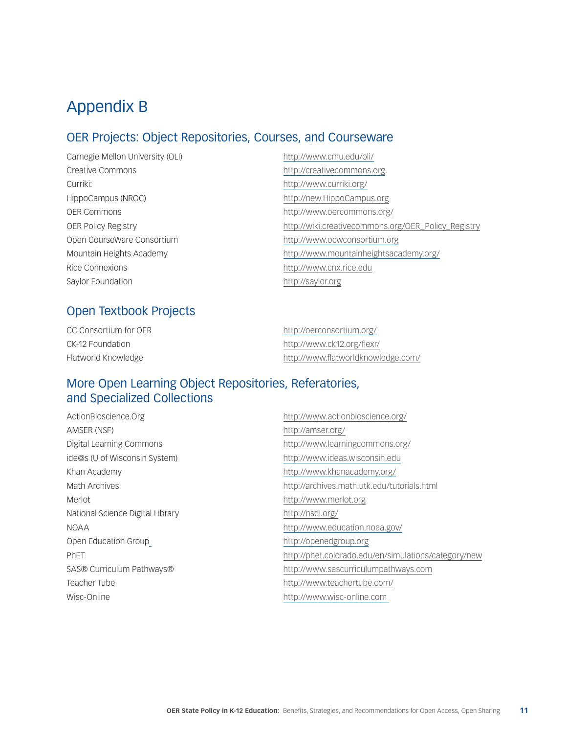# Appendix B

### OER Projects: Object Repositories, Courses, and Courseware

Carnegie Mellon University (OLI) <http://www.cmu.edu/oli/> Creative Commons <http://creativecommons.org> Curriki: <http://www.curriki.org/> HippoCampus (NROC) <http://new.HippoCampus.org> OER Commons <http://www.oercommons.org/> Open CourseWare Consortium <http://www.ocwconsortium.org> Rice Connexions <http://www.cnx.rice.edu> Saylor Foundation <http://saylor.org>

OER Policy Registry [http://wiki.creativecommons.org/OER\\_Policy\\_Registry](http://wiki.creativecommons.org/OER_Policy_Registry) Mountain Heights Academy <http://www.mountainheightsacademy.org/>

### Open Textbook Projects

| CC Consortium for OER | http://oerconsortium.org/          |
|-----------------------|------------------------------------|
| CK-12 Foundation      | http://www.ck12.org/flexr/         |
| Flatworld Knowledge   | http://www.flatworldknowledge.com/ |

### More Open Learning Object Repositories, Referatories, and Specialized Collections

| ActionBioscience.Org             | http://www.actionbioscience.org/                     |
|----------------------------------|------------------------------------------------------|
| AMSER (NSF)                      | http://amser.org/                                    |
| Digital Learning Commons         | http://www.learningcommons.org/                      |
| ide@s (U of Wisconsin System)    | http://www.ideas.wisconsin.edu                       |
| Khan Academy                     | http://www.khanacademy.org/                          |
| <b>Math Archives</b>             | http://archives.math.utk.edu/tutorials.html          |
| Merlot                           | http://www.merlot.org                                |
| National Science Digital Library | http://nsdl.org/                                     |
| NOAA                             | http://www.education.noaa.gov/                       |
| Open Education Group             | http://openedgroup.org                               |
| <b>PhET</b>                      | http://phet.colorado.edu/en/simulations/category/new |
| SAS® Curriculum Pathways®        | http://www.sascurriculumpathways.com                 |
| Teacher Tube                     | http://www.teachertube.com/                          |
| Wisc-Online                      | http://www.wisc-online.com                           |
|                                  |                                                      |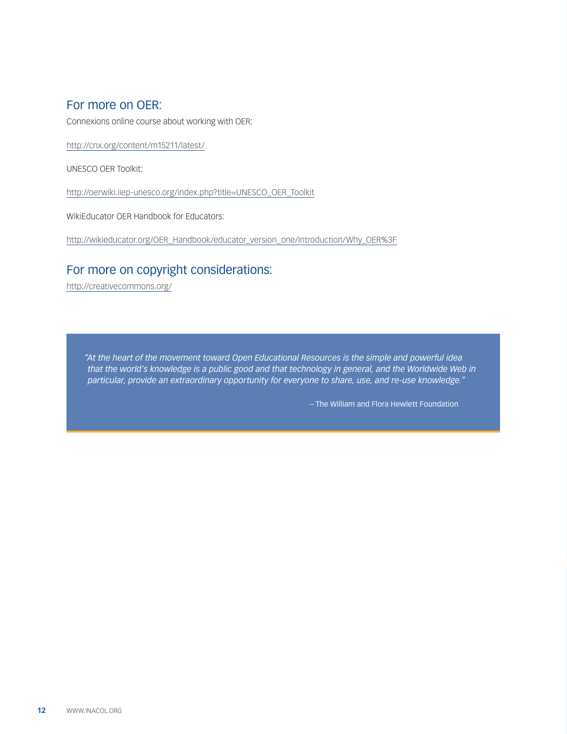#### For more on OER:

Connexions online course about working with OER:

[http://cnx.org/content/m15211/latest/](http://cnx.org/content/m15211/latest/%20)

UNESCO OER Toolkit:

[http://oerwiki.iiep-unesco.org/index.php?title=UNESCO\\_OER\\_Toolkit](http://oerwiki.iiep-unesco.org/index.php%3Ftitle%3DUNESCO_OER_Toolkit%20)

WikiEducator OER Handbook for Educators:

[http://wikieducator.org/OER\\_Handbook/educator\\_version\\_one/Introduction/Why\\_OER%3F](http://wikieducator.org/OER_Handbook/educator_version_one/Introduction/Why_OER%253F%20)

### For more on copyright considerations:

[http://creativecommons.org/](http://creativecommons.org/%20)

*"At the heart of the movement toward Open Educational Resources is the simple and powerful idea that the world's knowledge is a public good and that technology in general, and the Worldwide Web in particular, provide an extraordinary opportunity for everyone to share, use, and re-use knowledge."*

– The William and Flora Hewlett Foundation